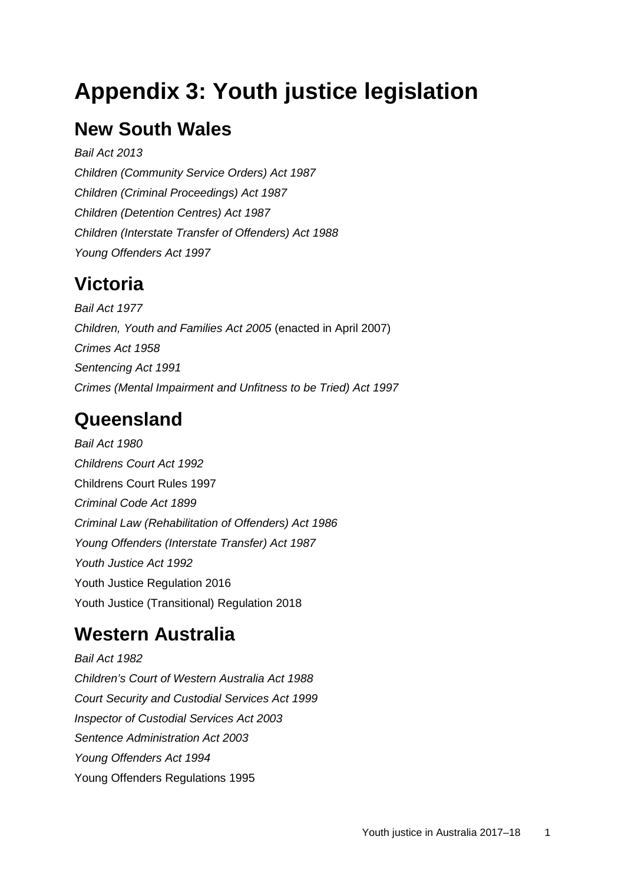# **Appendix 3: Youth justice legislation**

## **New South Wales**

*Bail Act 2013 Children (Community Service Orders) Act 1987 Children (Criminal Proceedings) Act 1987 Children (Detention Centres) Act 1987 Children (Interstate Transfer of Offenders) Act 1988 Young Offenders Act 1997*

#### **Victoria**

*Bail Act 1977 Children, Youth and Families Act 2005* (enacted in April 2007) *Crimes Act 1958 Sentencing Act 1991 [Crimes \(Mental Impairment and Unfitness to be Tried\) Act 1997](http://www.legislation.vic.gov.au/Domino/Web_Notes/LDMS/PubLawToday.nsf/a12f6f60fbd56800ca256de500201e54/7ef03c3309033ba0ca257f07001f3bab!OpenDocument)*

# **Queensland**

*Bail Act 1980 Childrens Court Act 1992* Childrens Court Rules 1997 *Criminal Code Act 1899 Criminal Law (Rehabilitation of Offenders) Act 1986 Young Offenders (Interstate Transfer) Act 1987 Youth Justice Act 1992* Youth Justice Regulation 2016 Youth Justice (Transitional) Regulation 2018

## **Western Australia**

*Bail Act 1982 Children's Court of Western Australia Act 1988 Court Security and Custodial Services Act 1999 Inspector of Custodial Services Act 2003 Sentence Administration Act 2003 Young Offenders Act 1994* Young Offenders Regulations 1995